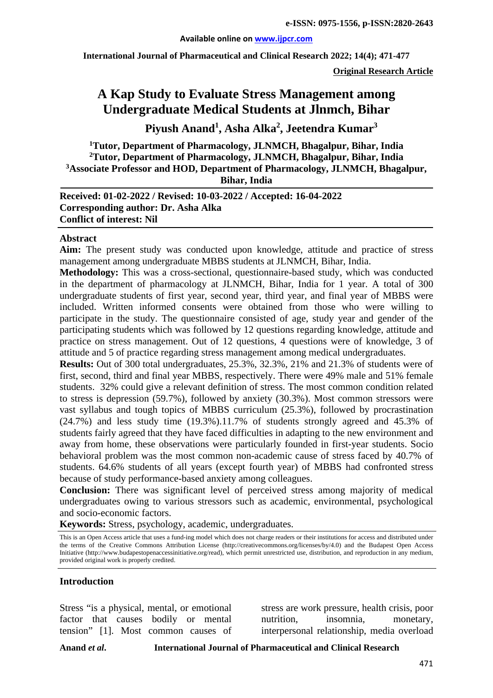**International Journal of Pharmaceutical and Clinical Research 2022; 14(4); 471-477**

**Original Research Article**

# **A Kap Study to Evaluate Stress Management among Undergraduate Medical Students at Jlnmch, Bihar**

**Piyush Anand1 , Asha Alka<sup>2</sup> , Jeetendra Kumar3**

 **Tutor, Department of Pharmacology, JLNMCH, Bhagalpur, Bihar, India Tutor, Department of Pharmacology, JLNMCH, Bhagalpur, Bihar, India Associate Professor and HOD, Department of Pharmacology, JLNMCH, Bhagalpur, Bihar, India**

**Received: 01-02-2022 / Revised: 10-03-2022 / Accepted: 16-04-2022 Corresponding author: Dr. Asha Alka Conflict of interest: Nil**

#### **Abstract**

**Aim:** The present study was conducted upon knowledge, attitude and practice of stress management among undergraduate MBBS students at JLNMCH, Bihar, India.

**Methodology:** This was a cross-sectional, questionnaire-based study, which was conducted in the department of pharmacology at JLNMCH, Bihar, India for 1 year. A total of 300 undergraduate students of first year, second year, third year, and final year of MBBS were included. Written informed consents were obtained from those who were willing to participate in the study. The questionnaire consisted of age, study year and gender of the participating students which was followed by 12 questions regarding knowledge, attitude and practice on stress management. Out of 12 questions, 4 questions were of knowledge, 3 of attitude and 5 of practice regarding stress management among medical undergraduates.

**Results:** Out of 300 total undergraduates, 25.3%, 32.3%, 21% and 21.3% of students were of first, second, third and final year MBBS, respectively. There were 49% male and 51% female students. 32% could give a relevant definition of stress. The most common condition related to stress is depression (59.7%), followed by anxiety (30.3%). Most common stressors were vast syllabus and tough topics of MBBS curriculum (25.3%), followed by procrastination (24.7%) and less study time (19.3%).11.7% of students strongly agreed and 45.3% of students fairly agreed that they have faced difficulties in adapting to the new environment and away from home, these observations were particularly founded in first-year students. Socio behavioral problem was the most common non-academic cause of stress faced by 40.7% of students. 64.6% students of all years (except fourth year) of MBBS had confronted stress because of study performance-based anxiety among colleagues.

**Conclusion:** There was significant level of perceived stress among majority of medical undergraduates owing to various stressors such as academic, environmental, psychological and socio-economic factors.

**Keywords:** Stress, psychology, academic, undergraduates.

This is an Open Access article that uses a fund-ing model which does not charge readers or their institutions for access and distributed under the terms of the Creative Commons Attribution License (http://creativecommons.org/licenses/by/4.0) and the Budapest Open Access Initiative (http://www.budapestopenaccessinitiative.org/read), which permit unrestricted use, distribution, and reproduction in any medium, provided original work is properly credited.

#### **Introduction**

Stress "is a physical, mental, or emotional factor that causes bodily or mental tension" [1]. Most common causes of stress are work pressure, health crisis, poor nutrition, insomnia, monetary, interpersonal relationship, media overload

**Anand** *et al***. International Journal of Pharmaceutical and Clinical Research**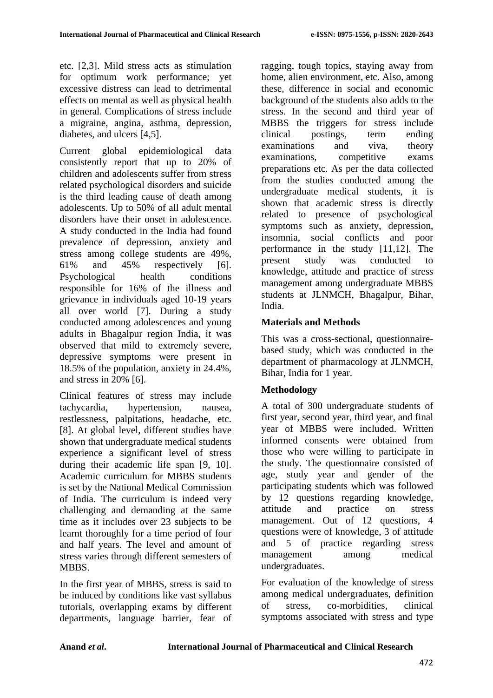etc. [2,3]. Mild stress acts as stimulation for optimum work performance; yet excessive distress can lead to detrimental effects on mental as well as physical health in general. Complications of stress include a migraine, angina, asthma, depression, diabetes, and ulcers [4,5].

Current global epidemiological data consistently report that up to 20% of children and adolescents suffer from stress related psychological disorders and suicide is the third leading cause of death among adolescents. Up to 50% of all adult mental disorders have their onset in adolescence. A study conducted in the India had found prevalence of depression, anxiety and stress among college students are 49%, 61% and 45% respectively [6]. Psychological health conditions responsible for 16% of the illness and grievance in individuals aged 10-19 years all over world [7]. During a study conducted among adolescences and young adults in Bhagalpur region India, it was observed that mild to extremely severe, depressive symptoms were present in 18.5% of the population, anxiety in 24.4%, and stress in 20% [6].

Clinical features of stress may include tachycardia, hypertension, nausea, restlessness, palpitations, headache, etc. [8]. At global level, different studies have shown that undergraduate medical students experience a significant level of stress during their academic life span [9, 10]. Academic curriculum for MBBS students is set by the National Medical Commission of India. The curriculum is indeed very challenging and demanding at the same time as it includes over 23 subjects to be learnt thoroughly for a time period of four and half years. The level and amount of stress varies through different semesters of MBBS.

In the first year of MBBS, stress is said to be induced by conditions like vast syllabus tutorials, overlapping exams by different departments, language barrier, fear of ragging, tough topics, staying away from home, alien environment, etc. Also, among these, difference in social and economic background of the students also adds to the stress. In the second and third year of MBBS the triggers for stress include clinical postings, term ending examinations and viva, theory examinations, competitive exams preparations etc. As per the data collected from the studies conducted among the undergraduate medical students, it is shown that academic stress is directly related to presence of psychological symptoms such as anxiety, depression, insomnia, social conflicts and poor performance in the study [11,12]. The present study was conducted to knowledge, attitude and practice of stress management among undergraduate MBBS students at JLNMCH, Bhagalpur, Bihar, India.

### **Materials and Methods**

This was a cross-sectional, questionnairebased study, which was conducted in the department of pharmacology at JLNMCH, Bihar, India for 1 year.

# **Methodology**

A total of 300 undergraduate students of first year, second year, third year, and final year of MBBS were included. Written informed consents were obtained from those who were willing to participate in the study. The questionnaire consisted of age, study year and gender of the participating students which was followed by 12 questions regarding knowledge, attitude and practice on stress management. Out of 12 questions, 4 questions were of knowledge, 3 of attitude and 5 of practice regarding stress management among medical undergraduates.

For evaluation of the knowledge of stress among medical undergraduates, definition of stress, co-morbidities, clinical symptoms associated with stress and type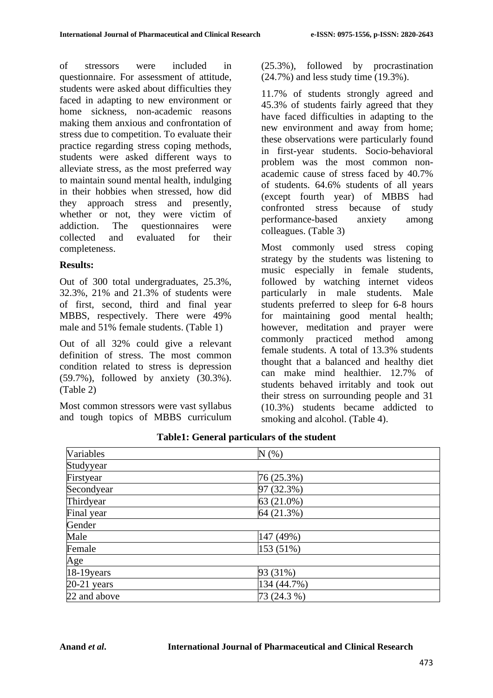of stressors were included in questionnaire. For assessment of attitude, students were asked about difficulties they faced in adapting to new environment or home sickness, non-academic reasons making them anxious and confrontation of stress due to competition. To evaluate their practice regarding stress coping methods, students were asked different ways to alleviate stress, as the most preferred way to maintain sound mental health, indulging in their hobbies when stressed, how did they approach stress and presently, whether or not, they were victim of addiction. The questionnaires were collected and evaluated for their completeness.

#### **Results:**

Out of 300 total undergraduates, 25.3%, 32.3%, 21% and 21.3% of students were of first, second, third and final year MBBS, respectively. There were 49% male and 51% female students. (Table 1)

Out of all 32% could give a relevant definition of stress. The most common condition related to stress is depression (59.7%), followed by anxiety (30.3%). (Table 2)

Most common stressors were vast syllabus and tough topics of MBBS curriculum (25.3%), followed by procrastination (24.7%) and less study time (19.3%).

11.7% of students strongly agreed and 45.3% of students fairly agreed that they have faced difficulties in adapting to the new environment and away from home; these observations were particularly found in first-year students. Socio-behavioral problem was the most common nonacademic cause of stress faced by 40.7% of students. 64.6% students of all years (except fourth year) of MBBS had confronted stress because of study performance-based anxiety among colleagues. (Table 3)

Most commonly used stress coping strategy by the students was listening to music especially in female students, followed by watching internet videos particularly in male students. Male students preferred to sleep for 6-8 hours for maintaining good mental health; however, meditation and prayer were commonly practiced method among female students. A total of 13.3% students thought that a balanced and healthy diet can make mind healthier. 12.7% of students behaved irritably and took out their stress on surrounding people and 31 (10.3%) students became addicted to smoking and alcohol. (Table 4).

| Variables            | N(% )       |  |
|----------------------|-------------|--|
| Studyyear            |             |  |
| Firstyear            | 76 (25.3%)  |  |
| Secondyear           | 97 (32.3%)  |  |
| Thirdyear            | 63 (21.0%)  |  |
| Final year           | 64 (21.3%)  |  |
| Gender               |             |  |
| Male                 | 147 (49%)   |  |
| Female               | 153 (51%)   |  |
| Age                  |             |  |
| $\sqrt{18-19}$ years | 93 (31%)    |  |
| $20-21$ years        | 134 (44.7%) |  |
| 22 and above         | 73 (24.3 %) |  |

**Table1: General particulars of the student**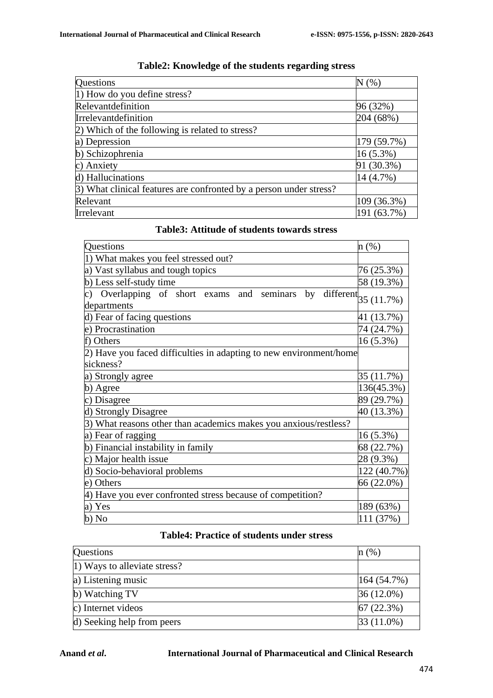| <b>Questions</b>                                                   | $N(\%)$     |
|--------------------------------------------------------------------|-------------|
| 1) How do you define stress?                                       |             |
| Relevant<br>definition                                             | 96 (32%)    |
| Irrelevantdefinition                                               | 204 (68%)   |
| 2) Which of the following is related to stress?                    |             |
| a) Depression                                                      | 179 (59.7%) |
| b) Schizophrenia                                                   | $16(5.3\%)$ |
| c) Anxiety                                                         | 91 (30.3%)  |
| d) Hallucinations                                                  | 14 (4.7%)   |
| 3) What clinical features are confronted by a person under stress? |             |
| Relevant                                                           | 109 (36.3%) |
| Irrelevant                                                         | 191 (63.7%) |

# **Table2: Knowledge of the students regarding stress**

| Questions                                                                | n (%)                 |
|--------------------------------------------------------------------------|-----------------------|
| 1) What makes you feel stressed out?                                     |                       |
|                                                                          |                       |
| a) Vast syllabus and tough topics                                        | 76 (25.3%)            |
| b) Less self-study time                                                  | 58 (19.3%)            |
| Overlapping of short exams<br>seminars<br>and<br>by<br>c)<br>departments | different $35(11.7%)$ |
| d) Fear of facing questions                                              | 41 (13.7%)            |
|                                                                          |                       |
| e) Procrastination                                                       | 74 (24.7%)            |
| Others                                                                   | 16 (5.3%)             |
| 2) Have you faced difficulties in adapting to new environment/home       |                       |
| sickness?                                                                |                       |
| a) Strongly agree                                                        | 35 (11.7%)            |
| b) Agree                                                                 | 136(45.3%)            |
| Disagree                                                                 | 89 (29.7%)            |
| <b>Strongly Disagree</b>                                                 | 40 (13.3%)            |
| 3) What reasons other than academics makes you anxious/restless?         |                       |
| a) Fear of ragging                                                       | 16 (5.3%)             |
| b) Financial instability in family                                       | 68 (22.7%)            |
| Major health issue<br>C)                                                 | 28 (9.3%)             |
| Socio-behavioral problems<br>d)                                          | 122 (40.7%)           |
| e) Others                                                                | 66 (22.0%)            |
| Have you ever confronted stress because of competition?                  |                       |
| Yes                                                                      | 189 (63%)             |
| b) No                                                                    | 111 (37%)             |

#### **Table3: Attitude of students towards stress**

# **Table4: Practice of students under stress**

| Questions                    | n(%)         |
|------------------------------|--------------|
| 1) Ways to alleviate stress? |              |
| a) Listening music           | 164(54.7%)   |
| b) Watching TV               | $36(12.0\%)$ |
| c) Internet videos           | 67(22.3%)    |
| d) Seeking help from peers   | $33(11.0\%)$ |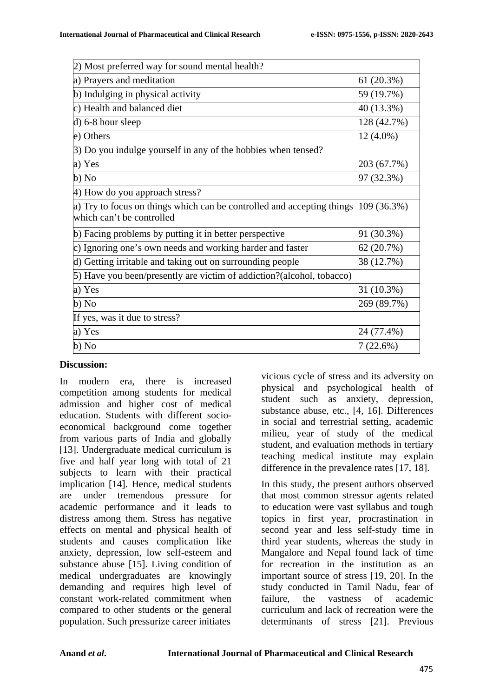| 2) Most preferred way for sound mental health?                                                                            |             |
|---------------------------------------------------------------------------------------------------------------------------|-------------|
| a) Prayers and meditation                                                                                                 | 61(20.3%)   |
| b) Indulging in physical activity                                                                                         | 59 (19.7%)  |
| c) Health and balanced diet                                                                                               | 40 (13.3%)  |
| d) 6-8 hour sleep                                                                                                         | 128 (42.7%) |
| e) Others                                                                                                                 | 12 (4.0%)   |
| 3) Do you indulge yourself in any of the hobbies when tensed?                                                             |             |
| a) Yes                                                                                                                    | 203 (67.7%) |
| b) No                                                                                                                     | 97 (32.3%)  |
| 4) How do you approach stress?                                                                                            |             |
| a) Try to focus on things which can be controlled and accepting things $ 109\rangle$ (36.3%)<br>which can't be controlled |             |
| b) Facing problems by putting it in better perspective                                                                    | 91 (30.3%)  |
| c) Ignoring one's own needs and working harder and faster                                                                 | 62 (20.7%)  |
| d) Getting irritable and taking out on surrounding people                                                                 | 38 (12.7%)  |
| 5) Have you been/presently are victim of addiction?(alcohol, tobacco)                                                     |             |
| a) Yes                                                                                                                    | 31 (10.3%)  |
| b) No                                                                                                                     | 269 (89.7%) |
| If yes, was it due to stress?                                                                                             |             |
| a) Yes                                                                                                                    | 24 (77.4%)  |
| b) No                                                                                                                     | 7 (22.6%)   |

#### **Discussion:**

In modern era, there is increased competition among students for medical admission and higher cost of medical education. Students with different socioeconomical background come together from various parts of India and globally [13]. Undergraduate medical curriculum is five and half year long with total of 21 subjects to learn with their practical implication [14]. Hence, medical students are under tremendous pressure for academic performance and it leads to distress among them. Stress has negative effects on mental and physical health of students and causes complication like anxiety, depression, low self-esteem and substance abuse [15]. Living condition of medical undergraduates are knowingly demanding and requires high level of constant work-related commitment when compared to other students or the general population. Such pressurize career initiates

vicious cycle of stress and its adversity on physical and psychological health of student such as anxiety, depression, substance abuse, etc., [4, 16]. Differences in social and terrestrial setting, academic milieu, year of study of the medical student, and evaluation methods in tertiary teaching medical institute may explain difference in the prevalence rates [17, 18].

In this study, the present authors observed that most common stressor agents related to education were vast syllabus and tough topics in first year, procrastination in second year and less self-study time in third year students, whereas the study in Mangalore and Nepal found lack of time for recreation in the institution as an important source of stress [19, 20]. In the study conducted in Tamil Nadu, fear of failure, the vastness of academic curriculum and lack of recreation were the determinants of stress [21]. Previous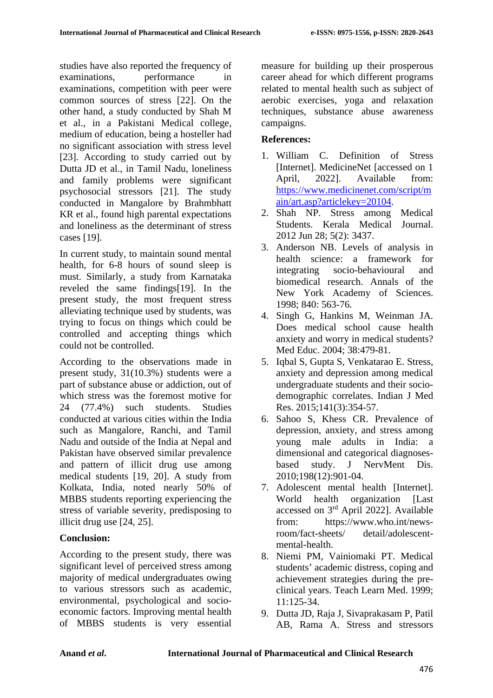studies have also reported the frequency of examinations, performance in examinations, competition with peer were common sources of stress [22]. On the other hand, a study conducted by Shah M et al., in a Pakistani Medical college, medium of education, being a hosteller had no significant association with stress level [23]. According to study carried out by Dutta JD et al., in Tamil Nadu, loneliness and family problems were significant psychosocial stressors [21]. The study conducted in Mangalore by Brahmbhatt KR et al., found high parental expectations and loneliness as the determinant of stress cases [19].

In current study, to maintain sound mental health, for 6-8 hours of sound sleep is must. Similarly, a study from Karnataka reveled the same findings[19]. In the present study, the most frequent stress alleviating technique used by students, was trying to focus on things which could be controlled and accepting things which could not be controlled.

According to the observations made in present study, 31(10.3%) students were a part of substance abuse or addiction, out of which stress was the foremost motive for 24 (77.4%) such students. Studies conducted at various cities within the India such as Mangalore, Ranchi, and Tamil Nadu and outside of the India at Nepal and Pakistan have observed similar prevalence and pattern of illicit drug use among medical students [19, 20]. A study from Kolkata, India, noted nearly 50% of MBBS students reporting experiencing the stress of variable severity, predisposing to illicit drug use [24, 25].

### **Conclusion:**

According to the present study, there was significant level of perceived stress among majority of medical undergraduates owing to various stressors such as academic, environmental, psychological and socioeconomic factors. Improving mental health of MBBS students is very essential

measure for building up their prosperous career ahead for which different programs related to mental health such as subject of aerobic exercises, yoga and relaxation techniques, substance abuse awareness campaigns.

### **References:**

- 1. William C. Definition of Stress [Internet]. MedicineNet [accessed on 1 April, 2022]. Available from: [https://www.medicinenet.com/script/m](https://www.medicinenet.com/script/main/art.asp?articlekey=20104) [ain/art.asp?articlekey=20104.](https://www.medicinenet.com/script/main/art.asp?articlekey=20104)
- 2. Shah NP. Stress among Medical Students. Kerala Medical Journal. 2012 Jun 28; 5(2): 3437.
- 3. Anderson NB. Levels of analysis in health science: a framework for integrating socio-behavioural and biomedical research. Annals of the New York Academy of Sciences. 1998; 840: 563-76.
- 4. Singh G, Hankins M, Weinman JA. Does medical school cause health anxiety and worry in medical students? Med Educ. 2004; 38:479-81.
- 5. Iqbal S, Gupta S, Venkatarao E. Stress, anxiety and depression among medical undergraduate students and their sociodemographic correlates. Indian J Med Res. 2015;141(3):354-57.
- 6. Sahoo S, Khess CR. Prevalence of depression, anxiety, and stress among young male adults in India: a dimensional and categorical diagnosesbased study. J NervMent Dis. 2010;198(12):901-04.
- 7. Adolescent mental health [Internet]. World health organization [Last accessed on 3rd April 2022]. Available from: https://www.who.int/newsroom/fact-sheets/ detail/adolescentmental-health.
- 8. Niemi PM, Vainiomaki PT. Medical students' academic distress, coping and achievement strategies during the preclinical years. Teach Learn Med. 1999; 11:125-34.
- 9. Dutta JD, Raja J, Sivaprakasam P, Patil AB, Rama A. Stress and stressors